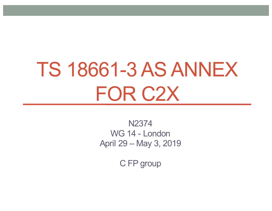# TS 18661-3 AS ANNEX FOR C2X

N2374 WG 14 - London April 29 – May 3, 2019

C FP group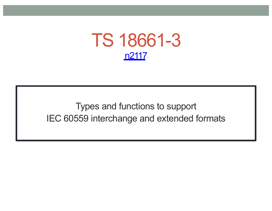

Types and functions to support IEC 60559 interchange and extended formats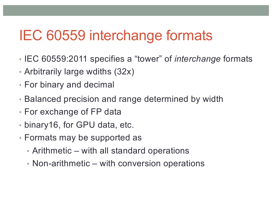#### IEC 60559 interchange formats

- IEC 60559:2011 specifies a "tower" of *interchange* formats
- Arbitrarily large wdiths (32x)
- For binary and decimal
- Balanced precision and range determined by width
- For exchange of FP data
- binary16, for GPU data, etc.
- Formats may be supported as
	- Arithmetic with all standard operations
	- Non-arithmetic with conversion operations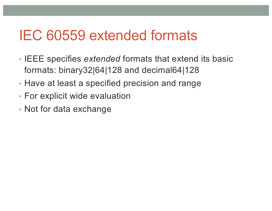#### IEC 60559 extended formats

- IEEE specifies *extended* formats that extend its basic formats: binary32|64|128 and decimal64|128
- Have at least a specified precision and range
- For explicit wide evaluation
- Not for data exchange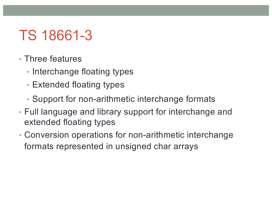# TS 18661-3

- Three features
	- Interchange floating types
	- Extended floating types
	- Support for non-arithmetic interchange formats
- Full language and library support for interchange and extended floating types
- Conversion operations for non-arithmetic interchange formats represented in unsigned char arrays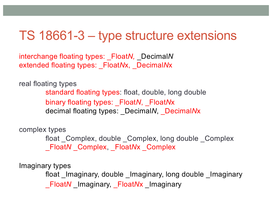#### TS 18661-3 – type structure extensions

interchange floating types: \_Float*N,* \_Decimal*N* extended floating types: \_Float*N*x, \_Decimal*N*x

real floating types

standard floating types: float, double, long double binary floating types: \_Float*N*, \_Float*N*x decimal floating types: \_Decimal*N*, \_Decimal*N*x

complex types

float Complex, double Complex, long double Complex \_Float*N* \_Complex, \_Float*N*x \_Complex

Imaginary types

float \_Imaginary, double \_Imaginary, long double \_Imaginary \_Float*N* \_Imaginary, \_Float*N*x \_Imaginary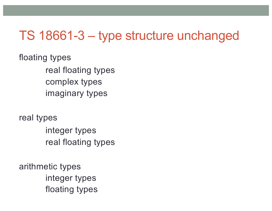#### TS 18661-3 – type structure unchanged

floating types real floating types complex types imaginary types

real types integer types real floating types

arithmetic types integer types floating types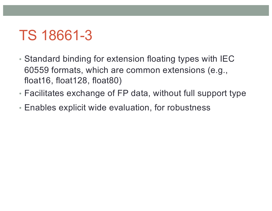## TS 18661-3

- Standard binding for extension floating types with IEC 60559 formats, which are common extensions (e.g., float16, float128, float80)
- Facilitates exchange of FP data, without full support type
- Enables explicit wide evaluation, for robustness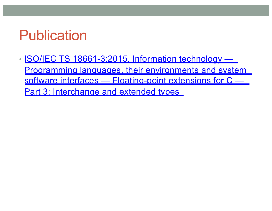## Publication

• ISO/IEC TS 18661-3:2015, Information technology — [Programming languages, their environments and system](http://www.iso.org/iso/catalogue_detail.htm?csnumber=65615)  software interfaces - Floating-point extensions for C -Part 3: Interchange and extended types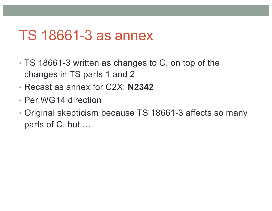#### TS 18661-3 as annex

- TS 18661-3 written as changes to C, on top of the changes in TS parts 1 and 2
- Recast as annex for C2X: **N2342**
- Per WG14 direction
- Original skepticism because TS 18661-3 affects so many parts of C, but …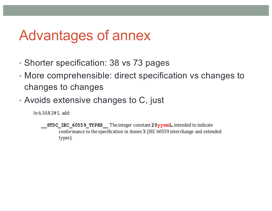#### Advantages of annex

- Shorter specification: 38 vs 73 pages
- More comprehensible: direct specification vs changes to changes to changes
- Avoids extensive changes to C, just

In 6.10.8.3#1, add:

**STDC** IEC 60559 TYPES The integer constant  $20$ yymmL, intended to indicate conformance to the specification in Annex X (IEC 60559 interchange and extended types).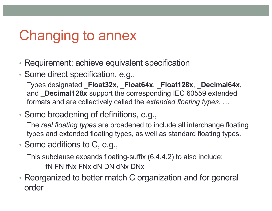# Changing to annex

- Requirement: achieve equivalent specification
- Some direct specification, e.g.,

Types designated **\_Float32x**, **\_Float64x**, **\_Float128x**, **\_Decimal64x**, and **\_Decimal128x** support the corresponding IEC 60559 extended formats and are collectively called the *extended floating types*. …

• Some broadening of definitions, e.g.,

The *real floating types* are broadened to include all interchange floating types and extended floating types, as well as standard floating types.

• Some additions to C, e.g.,

This subclause expands floating-suffix (6.4.4.2) to also include:

fN FN fNx FNx dN DN dNx DNx

• Reorganized to better match C organization and for general order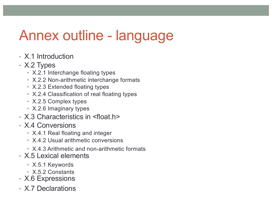## Annex outline - language

- X.1 Introduction
- X.2 Types
	- X.2.1 Interchange floating types
	- X.2.2 Non-arithmetic interchange formats
	- X.2.3 Extended floating types
	- X.2.4 Classification of real floating types
	- X.2.5 Complex types
	- X.2.6 Imaginary types
- X.3 Characteristics in <float.h>
- X.4 Conversions
	- X.4.1 Real floating and integer
	- X.4.2 Usual arithmetic conversions
	- X.4.3 Arithmetic and non-arithmetic formats
- X.5 Lexical elements
	- X.5.1 Keywords
	- X.5.2 Constants
- X.6 Expressions
- X.7 Declarations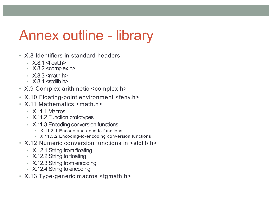## Annex outline - library

- X.8 Identifiers in standard headers
	-
	- X.8.1 <float.h> X.8.2 <complex.h>
	- $\cdot$  X.8.3 < math.h >
	- $\cdot$   $\times$  8.4  $\lt$ stdlib.h>
- X.9 Complex arithmetic <complex.h>
- X.10 Floating-point environment <fenv.h>
- X.11 Mathematics <math.h>
	- X.11.1 Macros
	- X.11.2 Function prototypes
	- X.11.3 Encoding conversion functions
		- X.11.3.1 Encode and decode functions
		- X.11.3.2 Encoding-to-encoding conversion functions
- X 12 Numeric conversion functions in <stdlib h>
	- X.12.1 String from floating
	- X.12.2 String to floating
	- X.12.3 String from encoding
	- X.12.4 String to encoding
- X.13 Type-generic macros <tgmath.h>